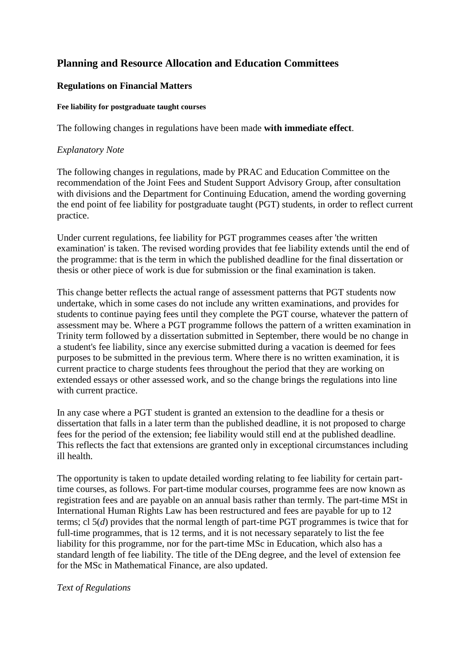# **Planning and Resource Allocation and Education Committees**

## **Regulations on Financial Matters**

#### **Fee liability for postgraduate taught courses**

The following changes in regulations have been made **with immediate effect**.

## *Explanatory Note*

The following changes in regulations, made by PRAC and Education Committee on the recommendation of the Joint Fees and Student Support Advisory Group, after consultation with divisions and the Department for Continuing Education, amend the wording governing the end point of fee liability for postgraduate taught (PGT) students, in order to reflect current practice.

Under current regulations, fee liability for PGT programmes ceases after 'the written examination' is taken. The revised wording provides that fee liability extends until the end of the programme: that is the term in which the published deadline for the final dissertation or thesis or other piece of work is due for submission or the final examination is taken.

This change better reflects the actual range of assessment patterns that PGT students now undertake, which in some cases do not include any written examinations, and provides for students to continue paying fees until they complete the PGT course, whatever the pattern of assessment may be. Where a PGT programme follows the pattern of a written examination in Trinity term followed by a dissertation submitted in September, there would be no change in a student's fee liability, since any exercise submitted during a vacation is deemed for fees purposes to be submitted in the previous term. Where there is no written examination, it is current practice to charge students fees throughout the period that they are working on extended essays or other assessed work, and so the change brings the regulations into line with current practice.

In any case where a PGT student is granted an extension to the deadline for a thesis or dissertation that falls in a later term than the published deadline, it is not proposed to charge fees for the period of the extension; fee liability would still end at the published deadline. This reflects the fact that extensions are granted only in exceptional circumstances including ill health.

The opportunity is taken to update detailed wording relating to fee liability for certain parttime courses, as follows. For part-time modular courses, programme fees are now known as registration fees and are payable on an annual basis rather than termly. The part-time MSt in International Human Rights Law has been restructured and fees are payable for up to 12 terms; cl 5(*d*) provides that the normal length of part-time PGT programmes is twice that for full-time programmes, that is 12 terms, and it is not necessary separately to list the fee liability for this programme, nor for the part-time MSc in Education, which also has a standard length of fee liability. The title of the DEng degree, and the level of extension fee for the MSc in Mathematical Finance, are also updated.

#### *Text of Regulations*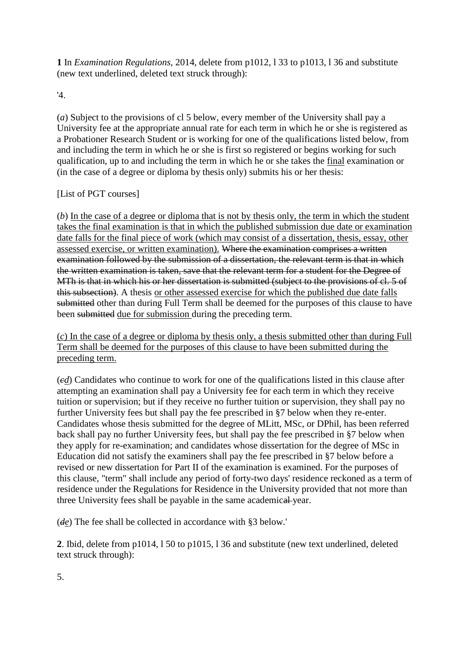**1** In *Examination Regulations*, 2014, delete from p1012, l 33 to p1013, l 36 and substitute (new text underlined, deleted text struck through):

'4.

(*a*) Subject to the provisions of cl 5 below, every member of the University shall pay a University fee at the appropriate annual rate for each term in which he or she is registered as a Probationer Research Student or is working for one of the qualifications listed below, from and including the term in which he or she is first so registered or begins working for such qualification, up to and including the term in which he or she takes the final examination or (in the case of a degree or diploma by thesis only) submits his or her thesis:

## [List of PGT courses]

(*b*) In the case of a degree or diploma that is not by thesis only, the term in which the student takes the final examination is that in which the published submission due date or examination date falls for the final piece of work (which may consist of a dissertation, thesis, essay, other assessed exercise, or written examination). Where the examination comprises a written examination followed by the submission of a dissertation, the relevant term is that in which the written examination is taken, save that the relevant term for a student for the Degree of MTh is that in which his or her dissertation is submitted (subject to the provisions of cl. 5 of this subsection). A thesis or other assessed exercise for which the published due date falls submitted other than during Full Term shall be deemed for the purposes of this clause to have been submitted due for submission during the preceding term.

(*c*) In the case of a degree or diploma by thesis only, a thesis submitted other than during Full Term shall be deemed for the purposes of this clause to have been submitted during the preceding term.

(*cd*) Candidates who continue to work for one of the qualifications listed in this clause after attempting an examination shall pay a University fee for each term in which they receive tuition or supervision; but if they receive no further tuition or supervision, they shall pay no further University fees but shall pay the fee prescribed in §7 below when they re-enter. Candidates whose thesis submitted for the degree of MLitt, MSc, or DPhil, has been referred back shall pay no further University fees, but shall pay the fee prescribed in §7 below when they apply for re-examination; and candidates whose dissertation for the degree of MSc in Education did not satisfy the examiners shall pay the fee prescribed in §7 below before a revised or new dissertation for Part II of the examination is examined. For the purposes of this clause, "term" shall include any period of forty-two days' residence reckoned as a term of residence under the Regulations for Residence in the University provided that not more than three University fees shall be payable in the same academical year.

(*de*) The fee shall be collected in accordance with §3 below.'

**2**. Ibid, delete from p1014, l 50 to p1015, l 36 and substitute (new text underlined, deleted text struck through):